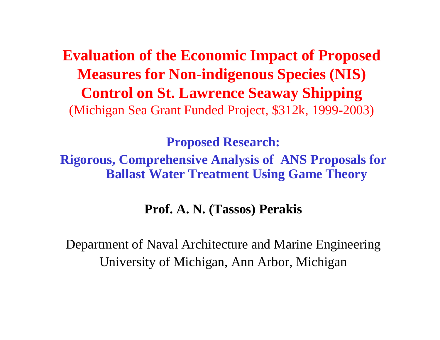**Evaluation of the Economic Impact of Proposed Measures for Non-indigenous Species (NIS) Control on St. Lawrence Seaway Shipping** (Michigan Sea Grant Funded Project, \$312k, 1999-2003)

**Pro posed Research:**

**Rigorous, Comprehensive Analysis of ANS Proposals for Ballast Water Treatment Using Game Theory**

**Prof. A. N. (Tassos) Perakis**

Department of Naval Architecture and Marine Engineering University of Michigan, Ann Arbor, Michigan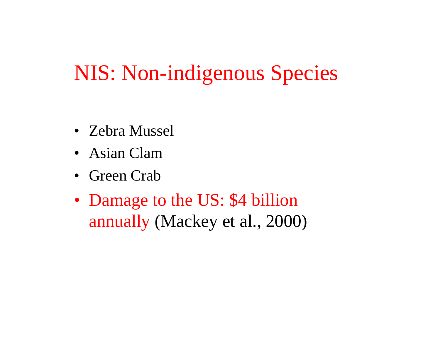### NIS: Non-indigenous Species

- Zebra Mussel
- Asian Clam
- Green Crab
- Damage to the US: \$4 billion annually (Mackey et al., 2000)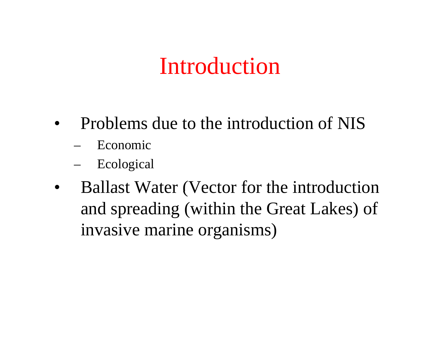### Introduction

- $\bullet$  Problems due to the introduction of NIS
	- –Economic
	- –Ecological
- •Ballast Water (Vector for the introduction and spreading (within the Great Lakes) of invasive marine organisms)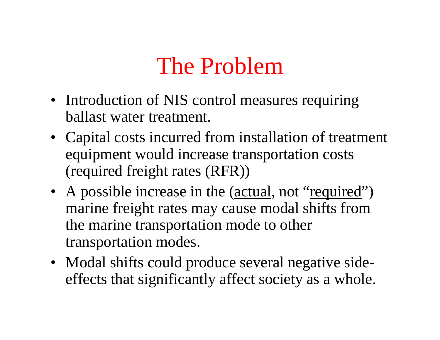### The Problem

- Introduction of NIS control measures requiring ballast water treatment.
- Capital costs incurred from installation of treatment equipment would increase transportation costs (required freight rates (RFR))
- A possible increase in the (*actual*, not "required") marine freight rates may cause modal shifts from the marine transportation mode to other transportation modes.
- Modal shifts could produce several negative sideeffects that significantly affect society as a whole.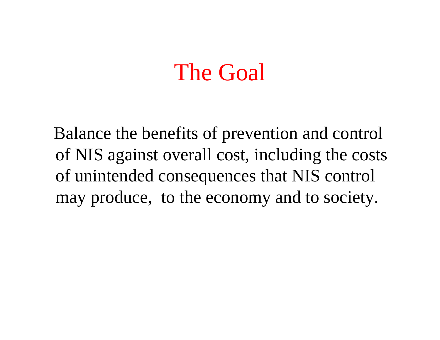### The Goal

Balance the benefits of prevention and control of NIS against overall cost, including the costs of unintended consequences that NIS control may produce, to the economy and to society.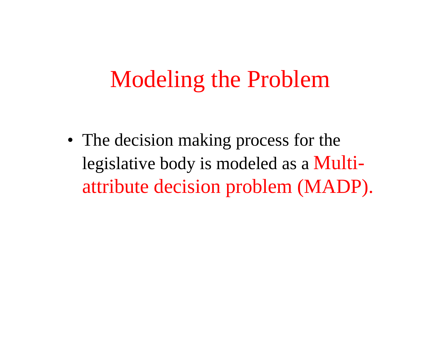### Modeling the Problem

• The decision making process for the legislative body is modeled as a Multiattribute decision problem (MADP).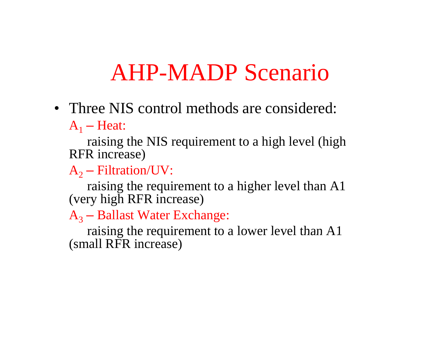### AHP-MADP Scenario

• Three NIS control methods are considered:  $A_1$  – Heat:

raising the NIS requirement to a high level (high RFR increase)

 $A_2$  – Filtration/UV:

raising the requirement to a higher level than A1 (very high RFR increase)

 $A_3$  – Ballast Water Exchange:

raising the requirement to a lower level than  $A1$ (small RFR increase)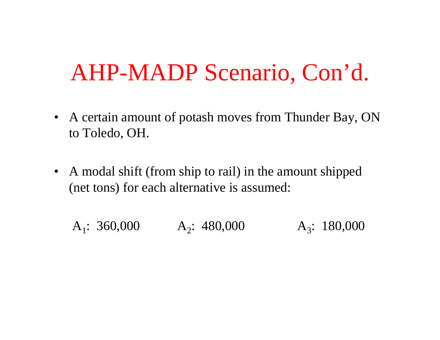### AHP-MADP Scenario, Con'd.

- A certain amount of potash moves from Thunder Bay, ON to Toledo, OH.
- A modal shift (from ship to rail) in the amount shipped (net tons) for each alternative is assumed:

 $A_1$ : 360,000 A  $A_2$ : 480,000  $A_3$ : 180,000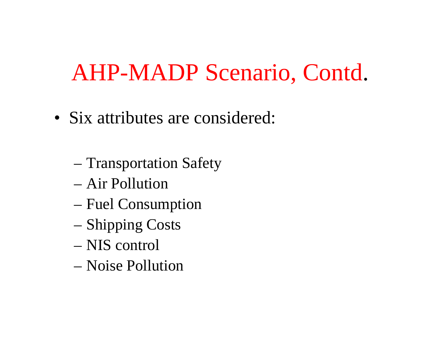### AHP-MADP Scenario, Cont d .

- Six attributes are considered:
	- Transportation Safety
	- Air Pollution
	- Fuel Consumption
	- Shipping Costs
	- NIS control
	- Noise Pollution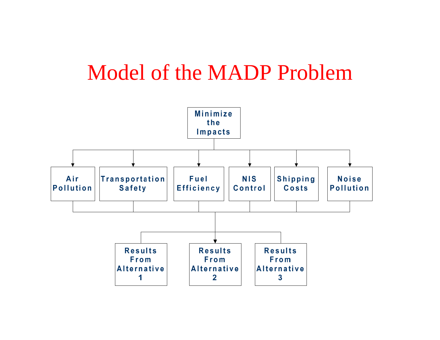### Model of the MADP Problem

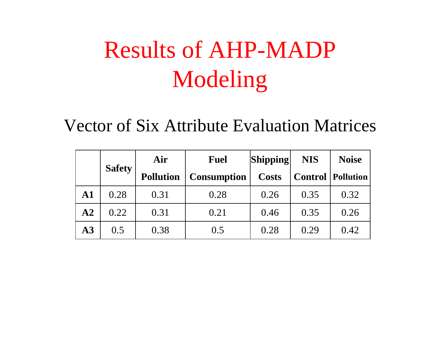# Results of AHP-MADP Modeling

Vector of Six Attribute Evaluation Matrices

|            | <b>Safety</b> | Air              | <b>Fuel</b>        | Shipping     | <b>NIS</b> | <b>Noise</b>               |
|------------|---------------|------------------|--------------------|--------------|------------|----------------------------|
|            |               | <b>Pollution</b> | <b>Consumption</b> | <b>Costs</b> |            | <b>Control   Pollution</b> |
| ${\bf A1}$ | 0.28          | 0.31             | 0.28               | 0.26         | 0.35       | 0.32                       |
| ${\bf A2}$ | 0.22          | 0.31             | 0.21               | 0.46         | 0.35       | 0.26                       |
| $\bf{A3}$  | 0.5           | 0.38             | 0.5                | 0.28         | 0.29       | 0.42                       |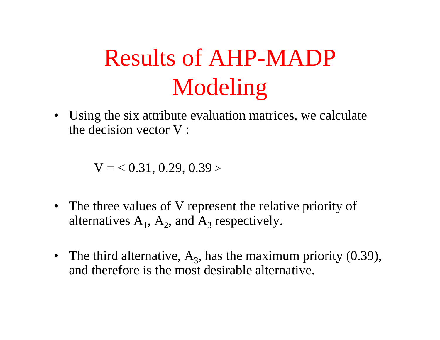# Results of AHP-MADP Modeling

• Using the six attribute evaluation matrices, we calculate the decision vector V :

 $\rm V =$   $<$   $0.31,$   $0.29,$   $0.39$   $>$ 

- The three values of V represent the relative priority of alternatives  $A_1$ ,  $A_2$ , and  $A_3$  respectively.
- The third alternative,  $A_3$ , has the maximum priority (0.39), and therefore is the most desirable alternative.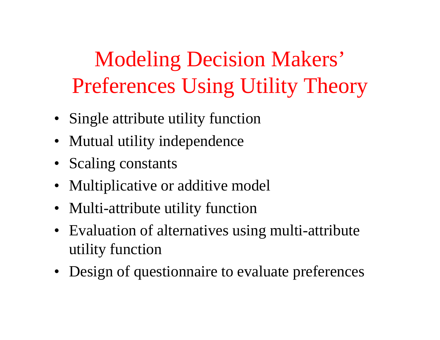Modeling Decision Makers' Preferences Using Utility Theory

- Single attribute utility function
- Mutual utility independence
- Scaling constants
- Multiplicative or additive model
- Multi-attribute utility function
- Evaluation of alternatives using multi-attribute utility function
- Design of questionnaire to evaluate preferences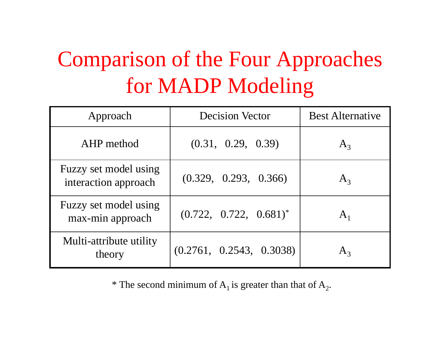### Comparison of the Four Approaches for MADP Modeling

| Approach                                      | <b>Decision Vector</b>      | <b>Best Alternative</b> |
|-----------------------------------------------|-----------------------------|-------------------------|
| AHP method                                    | (0.31, 0.29, 0.39)          | $A_3$                   |
| Fuzzy set model using<br>interaction approach | (0.329, 0.293, 0.366)       | $A_3$                   |
| Fuzzy set model using<br>max-min approach     | $(0.722, 0.722, 0.681)^{*}$ | $\rm A_1$               |
| Multi-attribute utility<br>theory             | (0.2761, 0.2543, 0.3038)    |                         |

\* The second minimum of  $A_1$  is greater than that of  $A_2$ .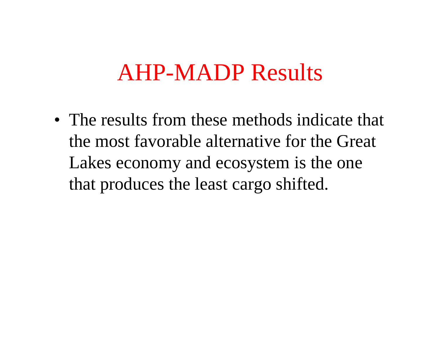### AHP-MADP Results

• The results from these methods indicate that the most favorable alternative for the Great Lakes economy and ecosystem is the one that produces the least cargo shifted.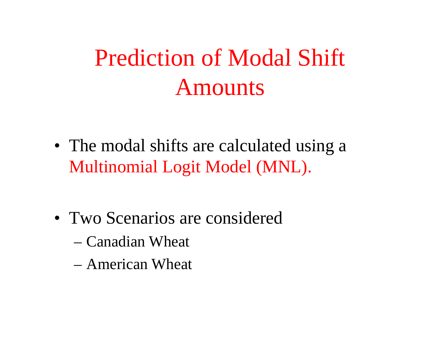# Prediction of Modal Shift Amounts

- The modal shifts are calculated using a Multinomial Logit Model (MNL).
- Two Scenarios are considered
	- Canadian Wheat
	- American Wheat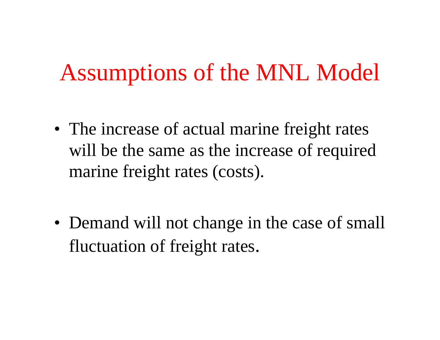### Assumptions of the MNL Model

- The increase of actual marine freight rates will be the same as the increase of required marine freight rates (costs).
- Demand will not change in the case of small fluctuation of freight rates.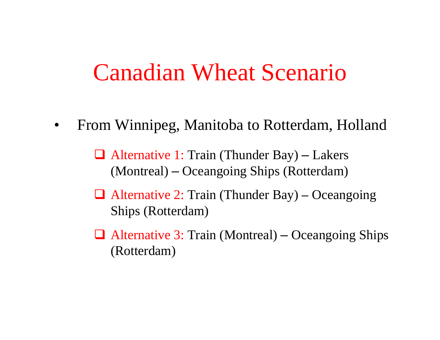### Canadian Wheat Scenario

 $\bullet$ From Winnipeg, Manitoba to Rotterdam, Holland

> Alternative 1: Train (Thunder Bay) – Lakers (Montreal) Oceangoing Ships (Rotterdam)

- $\Box$  Alternative 2: Train (Thunder Bay) – Oceangoing Ships (Rotterdam)
- Alternative 3: Train (Montreal) – Oceangoing Ships (Rotterdam)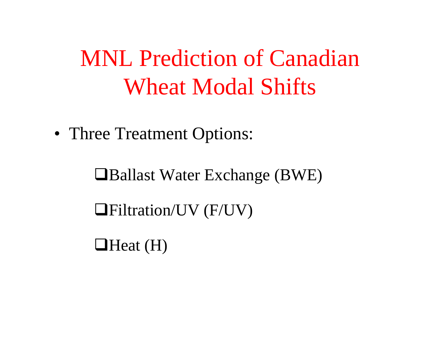### MNL Prediction of Canadian Wheat Modal Shifts

• Three Treatment Options:

■Ballast Water Exchange (BWE)

Filtration/UV (F/UV)

 $\Box$  Heat (H)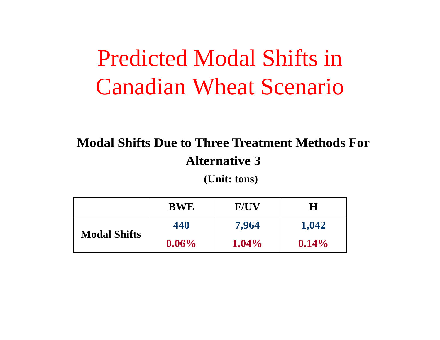### Predicted Modal Shifts in Canadian Wheat Scenario

### **Modal Shifts Due to Three Treatment Methods For Alternative 3**

 **(Unit: tons)** 

|                     | <b>BWE</b> | <b>F/UV</b> | H        |
|---------------------|------------|-------------|----------|
|                     | 440        | 7,964       | 1,042    |
| <b>Modal Shifts</b> | $0.06\%$   | $1.04\%$    | $0.14\%$ |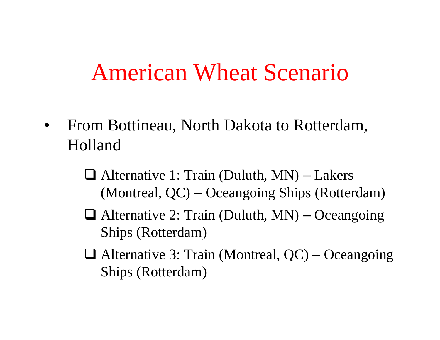### American Wheat Scenario

- $\bullet$  From Bottineau, North Dakota to Rotterdam, Holland
	- Alternative 1: Train (Duluth, MN) – Lakers (Montreal, QC) –Oceangoing Ships (Rotterdam)
	- Alternative 2: Train (Duluth, MN) –– Oceangoing Ships (Rotterdam)
	- Alternative 3: Train (Montreal, QC) –– Oceangoing Ships (Rotterdam)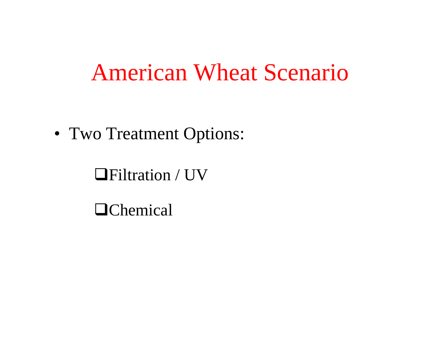### American Wheat Scenario

• Two Treatment Options:

### Filtration / UV

**O**Chemical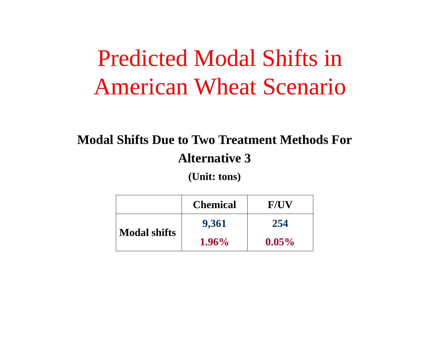### Predicted Modal Shifts in American Wheat Scenario

### **Modal Shifts Due to Two Treatment Methods For Alternative 3**

**(Unit: tons)** 

|                     | <b>Chemical</b> | <b>F/UV</b> |
|---------------------|-----------------|-------------|
|                     | 9,361           | 254         |
| <b>Modal shifts</b> | $1.96\%$        | $0.05\%$    |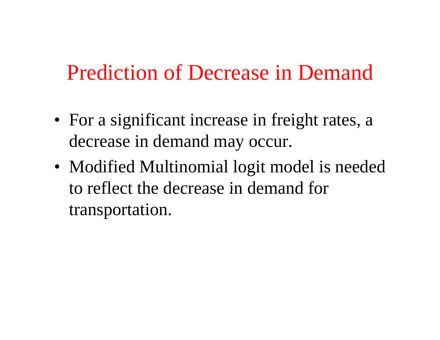### Prediction of Decrease in Demand

- For a significant increase in freight rates, a decrease in demand ma y occur.
- Modified Multinomial logit model is needed to reflect the decrease in demand for transportation.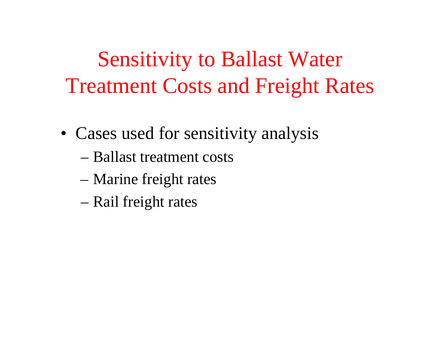**Sensitivity to Ballast Water** Treatment Costs and Freight Rates

- Cases used for sensitivity analysis
	- Ballast treatment costs
	- Marine freight rates
	- Rail freight rates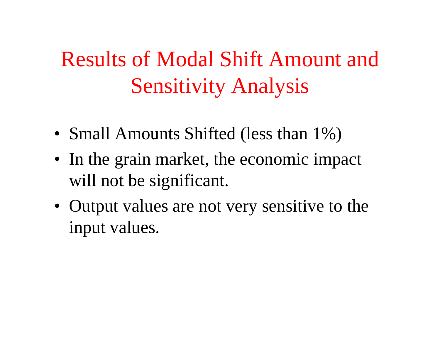### Results of Modal Shift Amount and Sensitivity Analysis

- Small Amounts Shifted (less than 1%)
- In the grain market, the economic impact will not be significant.
- Output values are not very sensitive to the in put values.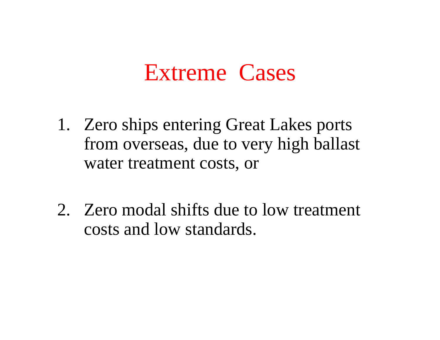### Extreme Cases

- 1. Zero ships entering Great Lakes ports from overseas, due to very high ballast water treatment costs, or
- 2. Zero modal shifts due to low treatment costs and low standards.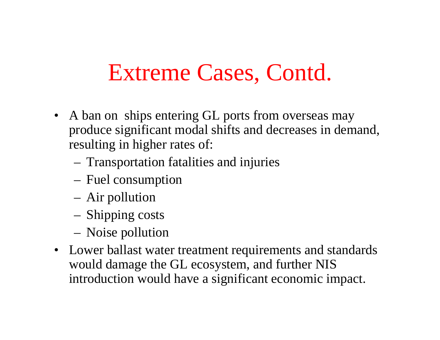### Extreme Cases, Contd.

- A ban on ships entering GL ports from overseas may produce significant modal shifts and decreases in demand, resulting in higher rates of:
	- –Transportation fatalities and injuries
	- –Fuel consumption
	- –Air pollution
	- –Shipping costs
	- –Noise pollution
- Lower ballast water treatment requirements and standards would damage the GL ecosystem, and further NIS introduction would have a significant economic impact.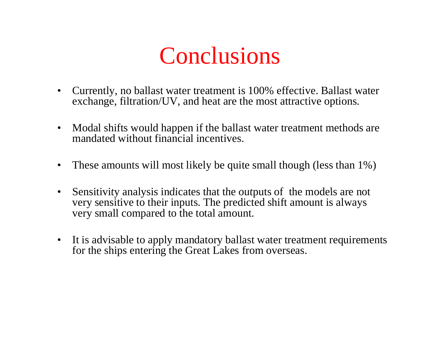

- $\bullet$  Currently, no ballast water treatment is 100% effective. Ballast water exchange, filtration/UV, and heat are the most attractive options.
- $\bullet$  Modal shifts would happen if the ballast water treatment methods are mandated without financial incentives.
- $\bullet$ These amounts will most likely be quite small though (less than 1%)
- $\bullet$ Sensitivity analysis indicates that the outputs of the models are not very sensitive to their inputs. The predicted shift amount is always very small compared to the total amount.
- $\bullet$  It is advisable to apply mandatory ballast water treatment requirements for the ships entering the Great Lakes from overseas.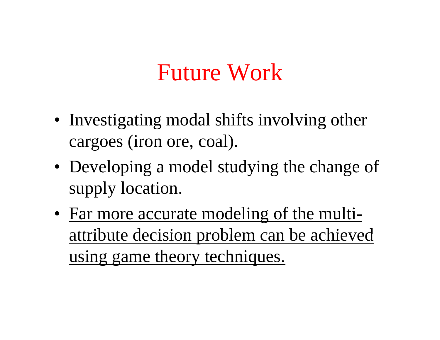### Future Work

- Investigating modal shifts involving other cargoes (iron ore, coal).
- Developing a model studying the change of supply location.
- Far more accurate modeling of the multiattribute decision problem can be achieved using game theory techniques.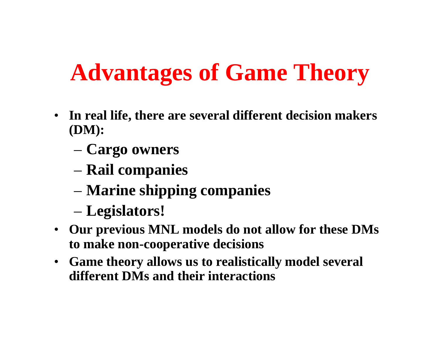# **Advantages of Game Theory**

- $\bullet$  **In real life, there are several different decision makers (DM):**
	- **Cargo owners**
	- **Rail companies**
	- **Marine shipping companies**
	- **Legislators!**
- Our previous MNL models do not allow for these DMs **to make non-cooperative decisions**
- $\bullet$  **Game theory allows us to realistically model several different DMs and their interactions**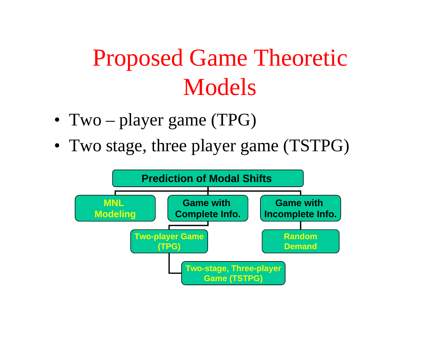# **Proposed Game Theoretic** Models

- Two player game (TPG)
- Two stage, three player game (TSTPG)

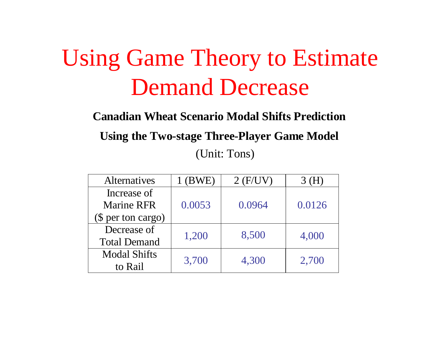### Using Game Theory to Estimate Demand Decrease

**Canadian Wheat Scenario Modal Shifts Prediction** 

**Using the Two-stage Three-Player Game Model** 

(Unit: Tons)

| <b>Alternatives</b> | $1$ (BWE) | $2$ (F/UV) | 3 (H)  |
|---------------------|-----------|------------|--------|
| Increase of         |           |            | 0.0126 |
| <b>Marine RFR</b>   | 0.0053    | 0.0964     |        |
| $$$ per ton cargo)  |           |            |        |
| Decrease of         | 1,200     | 8,500      | 4,000  |
| <b>Total Demand</b> |           |            |        |
| <b>Modal Shifts</b> | 3,700     | 4,300      | 2,700  |
| to Rail             |           |            |        |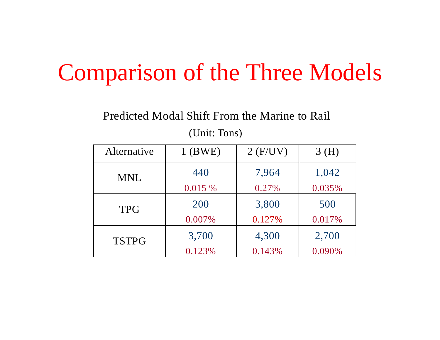### Comparison of the Three Models

### Predicted Modal Shift From the Marine to Rail

(Unit: Tons)

| Alternative  | $1$ (BWE) | $2$ (F/UV) | 3(H)   |
|--------------|-----------|------------|--------|
| <b>MNL</b>   | 440       | 7,964      | 1,042  |
|              | 0.015 %   | 0.27%      | 0.035% |
| <b>TPG</b>   | 200       | 3,800      | 500    |
|              | 0.007%    | 0.127%     | 0.017% |
| <b>TSTPG</b> | 3,700     | 4,300      | 2,700  |
|              | 0.123%    | 0.143%     | 0.090% |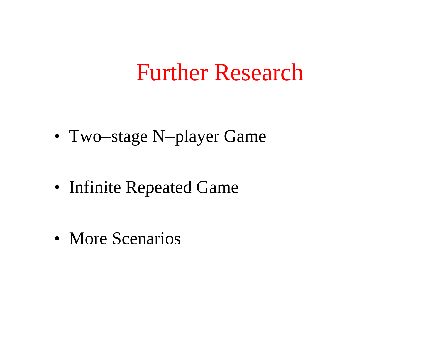### Further Research

- Two –stage N –player Game
- Infinite Repeated Game
- More Scenarios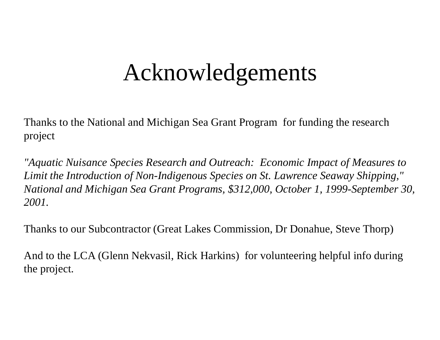### Acknowledgements

Thanks to the National and Michigan Sea Grant Program for funding the research project

*"Aquatic Nuisance Species Research and Outreach: Economic Impact of Measures to Limit the Introduction of Non-Indigenous Species on St. Lawrence Seaway Shipping,"*  National and Michigan Sea Grant Programs, \$312,000, October 1, 1999-September 30, *2001.*

Thanks to our Subcontractor (Great Lakes Commission, Dr Donahue, Steve Thorp)

And to the LCA (Glenn Nekvasil, Rick Harkins) for volunteering helpful info during the project.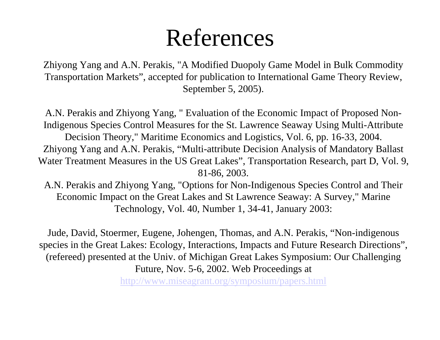### References

Zhiyong Yang and A.N. Perakis, "A Modified Duopoly Game Model in Bulk Commodity Transportation Markets", accepted for publication to International Game Theory Review, September 5, 2005).

A.N. Perakis and Zhiyong Yang, " Evaluation of the Economic Impact of Proposed Non-Indigenous Species Control Measures for the St. Lawrence Seaway Using Multi-Attribute Decision Theory," Maritime Economics and Logistics, Vol. 6, pp. 16-33, 2004. Zhiyong Yang and A.N. Perakis, "Multi-attribute Decision Analysis of Mandatory Ballast Water Treatment Measures in the US Great Lakes", Transportation Research, part D, Vol. 9, 81-86, 2003.

A.N. Perakis and Zhiyong Yang, "Options for Non-Indigenous Species Control and Their Economic Impact on the Great Lakes and St Lawrence Seaway: A Survey," Marine Technology, Vol. 40, Number 1, 34-41, January 2003:

Jude, David, Stoermer, Eugene, Johengen, Thomas, and A.N. Perakis, "Non-indigenous species in the Great Lakes: Ecology, Interactions, Impacts and Future Research Directions", (refereed) presented at the Univ. of Michigan Great Lakes Symposium: Our Challenging Future, Nov. 5-6, 2002. Web Proceedings at http://www.miseagrant.org/symposium/papers.html